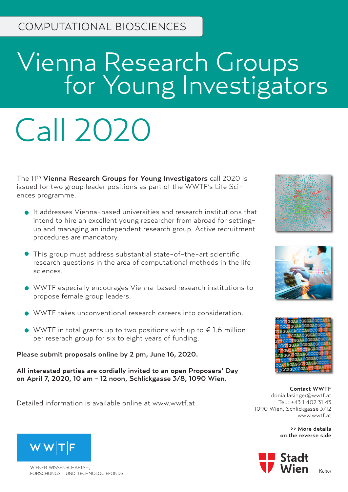# Vienna Research Groups **For Young Investigators**

# Call 2020

The 11th Vienna Research Groups for Young Investigators call 2020 is issued for two group leader positions as part of the WWTF's Life Sciences programme.

- It addresses Vienna-based universities and research institutions that intend to hire an excellent young researcher from abroad for settingup and managing an independent research group. Active recruitment procedures are mandatory.
- This group must address substantial state-of-the-art scientific research questions in the area of computational methods in the life sciences.
- WWTF especially encourages Vienna-based research institutions to propose female group leaders.
- WWTF takes unconventional research careers into consideration.
- $\bullet$  WWTF in total grants up to two positions with up to  $\epsilon$  1.6 million per reserach group for six to eight years of funding.

Please submit proposals online by 2 pm, June 16, 2020.

All interested parties are cordially invited to an open Proposers' Day on April 7, 2020, 10 am - 12 noon, Schlickgasse 3/8, 1090 Wien.

Detailed information is available online at www.wwtf.at







Contact WWTF donia.lasinger@wwtf.at Tel.: +43 1 402 31 43 1090 Wien, Schlickgasse 3/12 www.wwtf.at

> >> More details on the reverse side





WIENER WISSENSCHAFTSforschungs- und technologiefonds